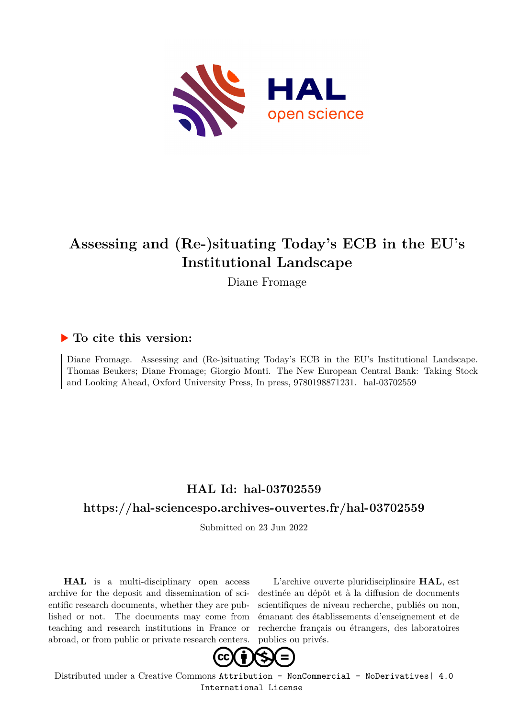

# **Assessing and (Re-)situating Today's ECB in the EU's Institutional Landscape**

Diane Fromage

## **To cite this version:**

Diane Fromage. Assessing and (Re-)situating Today's ECB in the EU's Institutional Landscape. Thomas Beukers; Diane Fromage; Giorgio Monti. The New European Central Bank: Taking Stock and Looking Ahead, Oxford University Press, In press, 9780198871231. hal-03702559

# **HAL Id: hal-03702559**

## **<https://hal-sciencespo.archives-ouvertes.fr/hal-03702559>**

Submitted on 23 Jun 2022

**HAL** is a multi-disciplinary open access archive for the deposit and dissemination of scientific research documents, whether they are published or not. The documents may come from teaching and research institutions in France or abroad, or from public or private research centers.

L'archive ouverte pluridisciplinaire **HAL**, est destinée au dépôt et à la diffusion de documents scientifiques de niveau recherche, publiés ou non, émanant des établissements d'enseignement et de recherche français ou étrangers, des laboratoires publics ou privés.



Distributed under a Creative Commons [Attribution - NonCommercial - NoDerivatives| 4.0](http://creativecommons.org/licenses/by-nc-nd/4.0/) [International License](http://creativecommons.org/licenses/by-nc-nd/4.0/)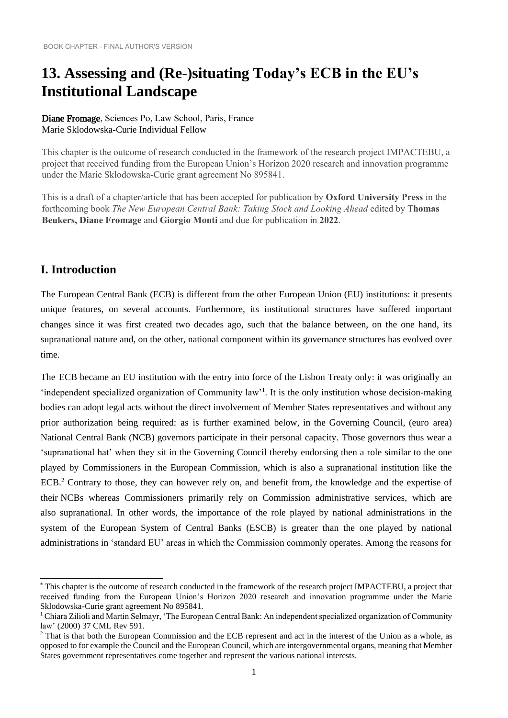# **13. Assessing and (Re-)situating Today's ECB in the EU's Institutional Landscape**

#### Diane Fromage, Sciences Po, Law School, Paris, France Marie Sklodowska-Curie Individual Fellow

This chapter is the outcome of research conducted in the framework of the research project IMPACTEBU, a project that received funding from the European Union's Horizon 2020 research and innovation programme under the Marie Sklodowska-Curie grant agreement No 895841.

This is a draft of a chapter/article that has been accepted for publication by **Oxford University Press** in the forthcoming book *The New European Central Bank: Taking Stock and Looking Ahead* edited by T**homas Beukers, Diane Fromage** and **Giorgio Monti** and due for publication in **2022**.

# **I. Introduction**

The European Central Bank (ECB) is different from the other European Union (EU) institutions: it presents unique features, on several accounts. Furthermore, its institutional structures have suffered important changes since it was first created two decades ago, such that the balance between, on the one hand, its supranational nature and, on the other, national component within its governance structures has evolved over time.

The ECB became an EU institution with the entry into force of the Lisbon Treaty only: it was originally an 'independent specialized organization of Community law'<sup>1</sup>. It is the only institution whose decision-making bodies can adopt legal acts without the direct involvement of Member States representatives and without any prior authorization being required: as is further examined below, in the Governing Council, (euro area) National Central Bank (NCB) governors participate in their personal capacity. Those governors thus wear a 'supranational hat' when they sit in the Governing Council thereby endorsing then a role similar to the one played by Commissioners in the European Commission, which is also a supranational institution like the ECB.<sup>2</sup> Contrary to those, they can however rely on, and benefit from, the knowledge and the expertise of their NCBs whereas Commissioners primarily rely on Commission administrative services, which are also supranational. In other words, the importance of the role played by national administrations in the system of the European System of Central Banks (ESCB) is greater than the one played by national administrations in 'standard EU' areas in which the Commission commonly operates. Among the reasons for

<sup>\*</sup> This chapter is the outcome of research conducted in the framework of the research project IMPACTEBU, a project that received funding from the European Union's Horizon 2020 research and innovation programme under the Marie Sklodowska-Curie grant agreement No 895841.

<sup>&</sup>lt;sup>1</sup> Chiara Zilioli and Martin Selmayr, 'The European Central Bank: An independent specialized organization of Community law' (2000) 37 CML Rev 591.

<sup>&</sup>lt;sup>2</sup> That is that both the European Commission and the ECB represent and act in the interest of the Union as a whole, as opposed to for example the Council and the European Council, which are intergovernmental organs, meaning that Member States government representatives come together and represent the various national interests.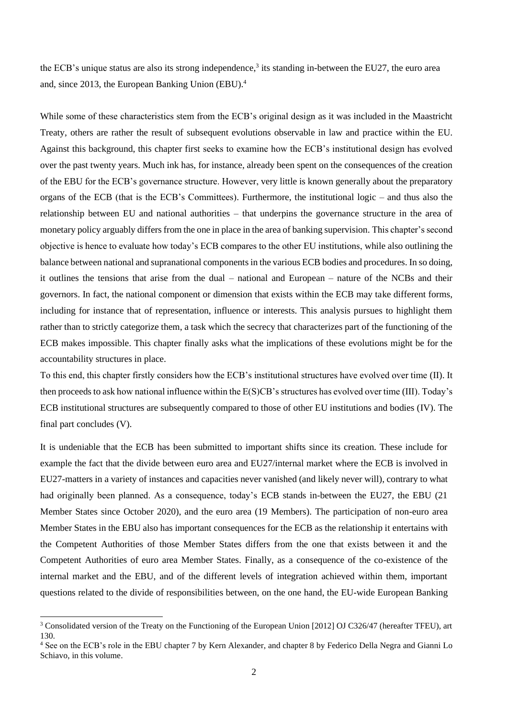the ECB's unique status are also its strong independence, $3$  its standing in-between the EU27, the euro area and, since 2013, the European Banking Union (EBU).<sup>4</sup>

While some of these characteristics stem from the ECB's original design as it was included in the Maastricht Treaty, others are rather the result of subsequent evolutions observable in law and practice within the EU. Against this background, this chapter first seeks to examine how the ECB's institutional design has evolved over the past twenty years. Much ink has, for instance, already been spent on the consequences of the creation of the EBU for the ECB's governance structure. However, very little is known generally about the preparatory organs of the ECB (that is the ECB's Committees). Furthermore, the institutional logic – and thus also the relationship between EU and national authorities – that underpins the governance structure in the area of monetary policy arguably differs from the one in place in the area of banking supervision. This chapter's second objective is hence to evaluate how today's ECB compares to the other EU institutions, while also outlining the balance between national and supranational components in the various ECB bodies and procedures. In so doing, it outlines the tensions that arise from the dual – national and European – nature of the NCBs and their governors. In fact, the national component or dimension that exists within the ECB may take different forms, including for instance that of representation, influence or interests. This analysis pursues to highlight them rather than to strictly categorize them, a task which the secrecy that characterizes part of the functioning of the ECB makes impossible. This chapter finally asks what the implications of these evolutions might be for the accountability structures in place.

To this end, this chapter firstly considers how the ECB's institutional structures have evolved over time (II). It then proceeds to ask how national influence within the E(S)CB's structures has evolved over time (III). Today's ECB institutional structures are subsequently compared to those of other EU institutions and bodies (IV). The final part concludes (V).

It is undeniable that the ECB has been submitted to important shifts since its creation. These include for example the fact that the divide between euro area and EU27/internal market where the ECB is involved in EU27-matters in a variety of instances and capacities never vanished (and likely never will), contrary to what had originally been planned. As a consequence, today's ECB stands in-between the EU27, the EBU (21) Member States since October 2020), and the euro area (19 Members). The participation of non-euro area Member States in the EBU also has important consequences for the ECB as the relationship it entertains with the Competent Authorities of those Member States differs from the one that exists between it and the Competent Authorities of euro area Member States. Finally, as a consequence of the co-existence of the internal market and the EBU, and of the different levels of integration achieved within them, important questions related to the divide of responsibilities between, on the one hand, the EU-wide European Banking

<sup>&</sup>lt;sup>3</sup> Consolidated version of the Treaty on the Functioning of the European Union [2012] OJ C326/47 (hereafter TFEU), art 130.

<sup>4</sup> See on the ECB's role in the EBU chapter 7 by Kern Alexander, and chapter 8 by Federico Della Negra and Gianni Lo Schiavo, in this volume.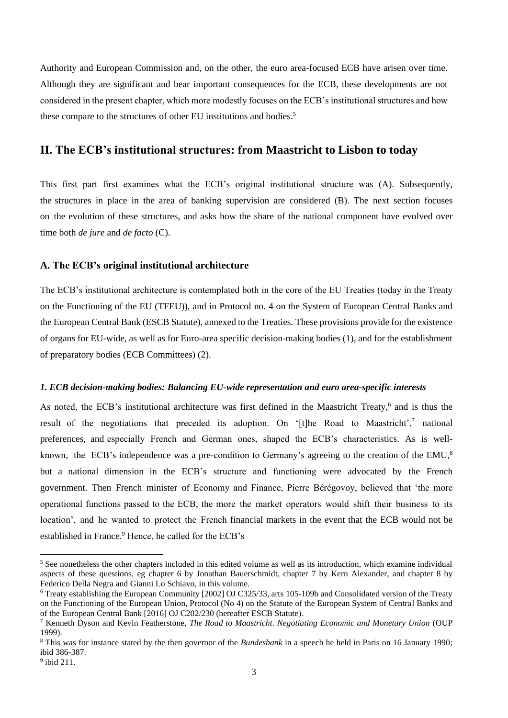Authority and European Commission and, on the other, the euro area-focused ECB have arisen over time. Although they are significant and bear important consequences for the ECB, these developments are not considered in the present chapter, which more modestly focuses on the ECB's institutional structures and how these compare to the structures of other EU institutions and bodies.<sup>5</sup>

#### **II. The ECB's institutional structures: from Maastricht to Lisbon to today**

This first part first examines what the ECB's original institutional structure was (A). Subsequently, the structures in place in the area of banking supervision are considered (B). The next section focuses on the evolution of these structures, and asks how the share of the national component have evolved over time both *de jure* and *de facto* (C).

#### **A. The ECB's original institutional architecture**

The ECB's institutional architecture is contemplated both in the core of the EU Treaties (today in the Treaty on the Functioning of the EU (TFEU)), and in Protocol no. 4 on the System of European Central Banks and the European Central Bank (ESCB Statute), annexed to the Treaties. These provisions provide for the existence of organs for EU-wide, as well as for Euro-area specific decision-making bodies (1), and for the establishment of preparatory bodies (ECB Committees) (2).

#### *1. ECB decision-making bodies: Balancing EU-wide representation and euro area-specific interests*

As noted, the ECB's institutional architecture was first defined in the Maastricht Treaty,<sup>6</sup> and is thus the result of the negotiations that preceded its adoption. On '[t]he Road to Maastricht',<sup>7</sup> national preferences, and especially French and German ones, shaped the ECB's characteristics. As is wellknown, the ECB's independence was a pre-condition to Germany's agreeing to the creation of the EMU,<sup>8</sup> but a national dimension in the ECB's structure and functioning were advocated by the French government. Then French minister of Economy and Finance, Pierre Bérégovoy, believed that 'the more operational functions passed to the ECB, the more the market operators would shift their business to its location', and he wanted to protect the French financial markets in the event that the ECB would not be established in France.<sup>9</sup> Hence, he called for the ECB's

<sup>&</sup>lt;sup>5</sup> See nonetheless the other chapters included in this edited volume as well as its introduction, which examine individual aspects of these questions, eg chapter 6 by Jonathan Bauerschmidt, chapter 7 by Kern Alexander, and chapter 8 by Federico Della Negra and Gianni Lo Schiavo, in this volume.

<sup>6</sup> Treaty establishing the European Community [2002] OJ C325/33, arts 105-109b and Consolidated version of the Treaty on the Functioning of the European Union, Protocol (No 4) on the Statute of the European System of Central Banks and of the European Central Bank [2016] OJ C202/230 (hereafter ESCB Statute).

<sup>7</sup> Kenneth Dyson and Kevin Featherstone, *The Road to Maastricht. Negotiating Economic and Monetary Union* (OUP 1999).

<sup>8</sup> This was for instance stated by the then governor of the *Bundesbank* in a speech he held in Paris on 16 January 1990; ibid 386-387.

 $9$  ibid 211.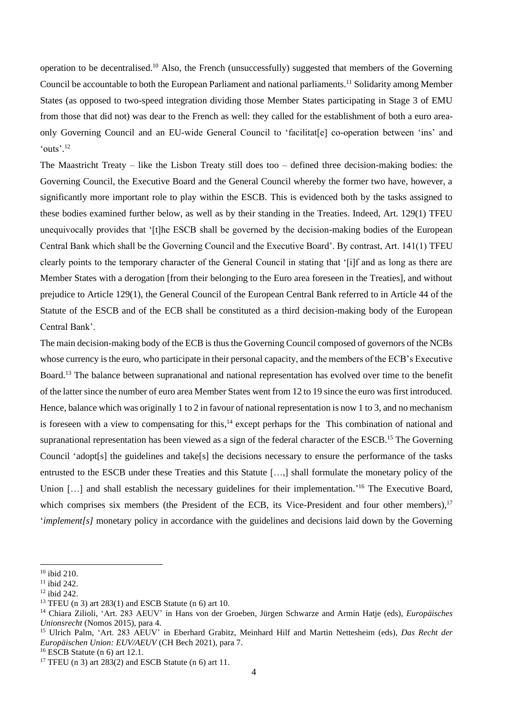operation to be decentralised.<sup>10</sup> Also, the French (unsuccessfully) suggested that members of the Governing Council be accountable to both the European Parliament and national parliaments.<sup>11</sup> Solidarity among Member States (as opposed to two-speed integration dividing those Member States participating in Stage 3 of EMU from those that did not) was dear to the French as well: they called for the establishment of both a euro areaonly Governing Council and an EU-wide General Council to 'facilitat[e] co-operation between 'ins' and 'outs'. $^{12}$ 

The Maastricht Treaty – like the Lisbon Treaty still does too – defined three decision-making bodies: the Governing Council, the Executive Board and the General Council whereby the former two have, however, a significantly more important role to play within the ESCB. This is evidenced both by the tasks assigned to these bodies examined further below, as well as by their standing in the Treaties. Indeed, Art. 129(1) TFEU unequivocally provides that '[t]he ESCB shall be governed by the decision-making bodies of the European Central Bank which shall be the Governing Council and the Executive Board'. By contrast, Art. 141(1) TFEU clearly points to the temporary character of the General Council in stating that '[i]f and as long as there are Member States with a derogation [from their belonging to the Euro area foreseen in the Treaties], and without prejudice to Article 129(1), the General Council of the European Central Bank referred to in Article 44 of the Statute of the ESCB and of the ECB shall be constituted as a third decision-making body of the European Central Bank'.

The main decision-making body of the ECB is thus the Governing Council composed of governors of the NCBs whose currency is the euro, who participate in their personal capacity, and the members of the ECB's Executive Board.<sup>13</sup> The balance between supranational and national representation has evolved over time to the benefit of the latter since the number of euro area Member States went from 12 to 19 since the euro was first introduced. Hence, balance which was originally 1 to 2 in favour of national representation is now 1 to 3, and no mechanism is foreseen with a view to compensating for this,<sup>14</sup> except perhaps for the This combination of national and supranational representation has been viewed as a sign of the federal character of the ESCB.<sup>15</sup> The Governing Council 'adopt[s] the guidelines and take[s] the decisions necessary to ensure the performance of the tasks entrusted to the ESCB under these Treaties and this Statute […,] shall formulate the monetary policy of the Union [...] and shall establish the necessary guidelines for their implementation.<sup>'16</sup> The Executive Board, which comprises six members (the President of the ECB, its Vice-President and four other members),<sup>17</sup> *'implement*[s] monetary policy in accordance with the guidelines and decisions laid down by the Governing

<sup>10</sup> ibid 210.

<sup>&</sup>lt;sup>11</sup> ibid 242.

<sup>12</sup> ibid 242.

<sup>13</sup> TFEU (n 3) art 283(1) and ESCB Statute (n 6) art 10.

<sup>14</sup> Chiara Zilioli, 'Art. 283 AEUV' in Hans von der Groeben, Jürgen Schwarze and Armin Hatje (eds), *Europäisches Unionsrecht* (Nomos 2015), para 4.

<sup>15</sup> Ulrich Palm, 'Art. 283 AEUV' in Eberhard Grabitz, Meinhard Hilf and Martin Nettesheim (eds), *Das Recht der Europäischen Union: EUV/AEUV* (CH Bech 2021), para 7.

<sup>16</sup> ESCB Statute (n 6) art 12.1.

<sup>&</sup>lt;sup>17</sup> TFEU (n 3) art  $283(2)$  and ESCB Statute (n 6) art 11.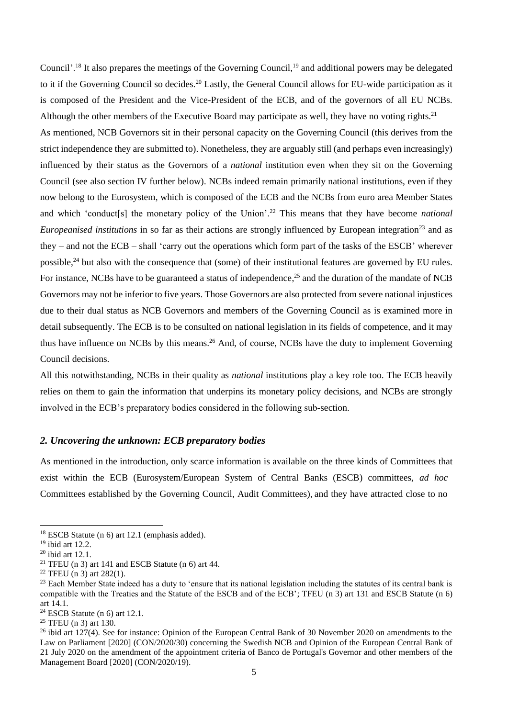Council'.<sup>18</sup> It also prepares the meetings of the Governing Council,<sup>19</sup> and additional powers may be delegated to it if the Governing Council so decides.<sup>20</sup> Lastly, the General Council allows for EU-wide participation as it is composed of the President and the Vice-President of the ECB, and of the governors of all EU NCBs. Although the other members of the Executive Board may participate as well, they have no voting rights.<sup>21</sup> As mentioned, NCB Governors sit in their personal capacity on the Governing Council (this derives from the strict independence they are submitted to). Nonetheless, they are arguably still (and perhaps even increasingly) influenced by their status as the Governors of a *national* institution even when they sit on the Governing Council (see also section IV further below). NCBs indeed remain primarily national institutions, even if they now belong to the Eurosystem, which is composed of the ECB and the NCBs from euro area Member States and which 'conduct<sup>[s]</sup> the monetary policy of the Union'.<sup>22</sup> This means that they have become *national Europeanised institutions* in so far as their actions are strongly influenced by European integration<sup>23</sup> and as they – and not the ECB – shall 'carry out the operations which form part of the tasks of the ESCB' wherever possible,<sup>24</sup> but also with the consequence that (some) of their institutional features are governed by EU rules. For instance, NCBs have to be guaranteed a status of independence,<sup>25</sup> and the duration of the mandate of NCB Governors may not be inferior to five years. Those Governors are also protected from severe national injustices due to their dual status as NCB Governors and members of the Governing Council as is examined more in detail subsequently. The ECB is to be consulted on national legislation in its fields of competence, and it may thus have influence on NCBs by this means.<sup>26</sup> And, of course, NCBs have the duty to implement Governing Council decisions.

All this notwithstanding, NCBs in their quality as *national* institutions play a key role too. The ECB heavily relies on them to gain the information that underpins its monetary policy decisions, and NCBs are strongly involved in the ECB's preparatory bodies considered in the following sub-section.

#### *2. Uncovering the unknown: ECB preparatory bodies*

As mentioned in the introduction, only scarce information is available on the three kinds of Committees that exist within the ECB (Eurosystem/European System of Central Banks (ESCB) committees, *ad hoc*  Committees established by the Governing Council, Audit Committees), and they have attracted close to no

<sup>&</sup>lt;sup>18</sup> ESCB Statute (n 6) art 12.1 (emphasis added).

<sup>19</sup> ibid art 12.2.

<sup>20</sup> ibid art 12.1.

<sup>&</sup>lt;sup>21</sup> TFEU (n 3) art 141 and ESCB Statute (n 6) art 44.

<sup>22</sup> TFEU (n 3) art 282(1).

 $23$  Each Member State indeed has a duty to 'ensure that its national legislation including the statutes of its central bank is compatible with the Treaties and the Statute of the ESCB and of the ECB'; TFEU (n 3) art 131 and ESCB Statute (n 6) art 14.1.

 $24$  ESCB Statute (n 6) art 12.1.

<sup>25</sup> TFEU (n 3) art 130.

<sup>&</sup>lt;sup>26</sup> ibid art 127(4). See for instance: Opinion of the European Central Bank of 30 November 2020 on amendments to the Law on Parliament [2020] (CON/2020/30) concerning the Swedish NCB and Opinion of the European Central Bank of 21 July 2020 on the amendment of the appointment criteria of Banco de Portugal's Governor and other members of the Management Board [2020] (CON/2020/19).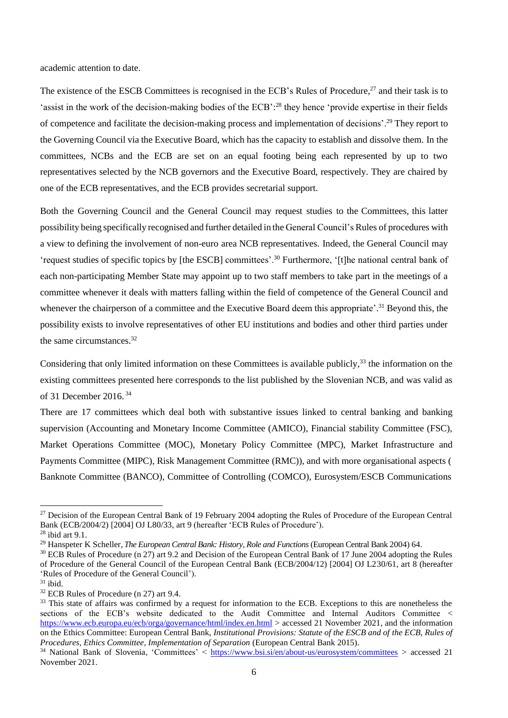academic attention to date.

The existence of the ESCB Committees is recognised in the ECB's Rules of Procedure,<sup>27</sup> and their task is to 'assist in the work of the decision-making bodies of the ECB':<sup>28</sup> they hence 'provide expertise in their fields of competence and facilitate the decision-making process and implementation of decisions'.<sup>29</sup> They report to the Governing Council via the Executive Board, which has the capacity to establish and dissolve them. In the committees, NCBs and the ECB are set on an equal footing being each represented by up to two representatives selected by the NCB governors and the Executive Board, respectively. They are chaired by one of the ECB representatives, and the ECB provides secretarial support.

Both the Governing Council and the General Council may request studies to the Committees, this latter possibility being specifically recognised and further detailed in the General Council's Rules of procedures with a view to defining the involvement of non-euro area NCB representatives. Indeed, the General Council may 'request studies of specific topics by [the ESCB] committees'.<sup>30</sup> Furthermore, '[t]he national central bank of each non-participating Member State may appoint up to two staff members to take part in the meetings of a committee whenever it deals with matters falling within the field of competence of the General Council and whenever the chairperson of a committee and the Executive Board deem this appropriate'.<sup>31</sup> Beyond this, the possibility exists to involve representatives of other EU institutions and bodies and other third parties under the same circumstances.<sup>32</sup>

Considering that only limited information on these Committees is available publicly,<sup>33</sup> the information on the existing committees presented here corresponds to the list published by the Slovenian NCB, and was valid as of 31 December 2016. 34

There are 17 committees which deal both with substantive issues linked to central banking and banking supervision (Accounting and Monetary Income Committee (AMICO), Financial stability Committee (FSC), Market Operations Committee (MOC), Monetary Policy Committee (MPC), Market Infrastructure and Payments Committee (MIPC), Risk Management Committee (RMC)), and with more organisational aspects ( Banknote Committee (BANCO), Committee of Controlling (COMCO), Eurosystem/ESCB Communications

<sup>&</sup>lt;sup>27</sup> Decision of the European Central Bank of 19 February 2004 adopting the Rules of Procedure of the European Central Bank (ECB/2004/2) [2004] OJ L80/33, art 9 (hereafter 'ECB Rules of Procedure').

 $28$  ibid art 9.1.

<sup>&</sup>lt;sup>29</sup> Hanspeter K Scheller, *The European Central Bank: History, Role and Functions* (European Central Bank 2004) 64.

<sup>&</sup>lt;sup>30</sup> ECB Rules of Procedure (n 27) art 9.2 and Decision of the European Central Bank of 17 June 2004 adopting the Rules of Procedure of the General Council of the European Central Bank (ECB/2004/12) [2004] OJ L230/61, art 8 (hereafter 'Rules of Procedure of the General Council').

 $31$  ibid.

<sup>32</sup> ECB Rules of Procedure (n 27) art 9.4.

<sup>&</sup>lt;sup>33</sup> This state of affairs was confirmed by a request for information to the ECB. Exceptions to this are nonetheless the sections of the ECB's website dedicated to the Audit Committee and Internal Auditors Committee < <https://www.ecb.europa.eu/ecb/orga/governance/html/index.en.html> > accessed 21 November 2021, and the information on the Ethics Committee: European Central Bank, *Institutional Provisions: Statute of the ESCB and of the ECB, Rules of Procedures, Ethics Committee, Implementation of Separation* (European Central Bank 2015).

<sup>&</sup>lt;sup>34</sup> National Bank of Slovenia, 'Committees' < <https://www.bsi.si/en/about-us/eurosystem/committees> > accessed 21 November 2021.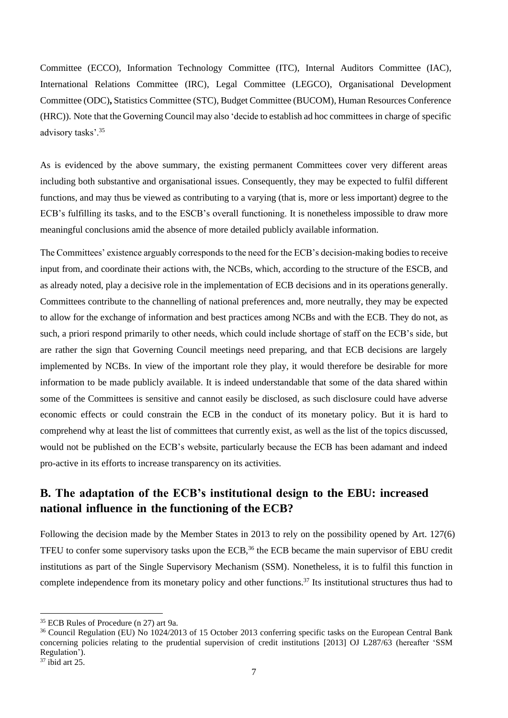Committee (ECCO), Information Technology Committee (ITC), Internal Auditors Committee (IAC), International Relations Committee (IRC), Legal Committee (LEGCO), Organisational Development Committee (ODC)**,** Statistics Committee (STC), Budget Committee (BUCOM), Human Resources Conference (HRC)). Note that the Governing Council may also 'decide to establish ad hoc committees in charge of specific advisory tasks'.<sup>35</sup>

As is evidenced by the above summary, the existing permanent Committees cover very different areas including both substantive and organisational issues. Consequently, they may be expected to fulfil different functions, and may thus be viewed as contributing to a varying (that is, more or less important) degree to the ECB's fulfilling its tasks, and to the ESCB's overall functioning. It is nonetheless impossible to draw more meaningful conclusions amid the absence of more detailed publicly available information.

The Committees' existence arguably corresponds to the need for the ECB's decision-making bodies to receive input from, and coordinate their actions with, the NCBs, which, according to the structure of the ESCB, and as already noted, play a decisive role in the implementation of ECB decisions and in its operations generally. Committees contribute to the channelling of national preferences and, more neutrally, they may be expected to allow for the exchange of information and best practices among NCBs and with the ECB. They do not, as such, a priori respond primarily to other needs, which could include shortage of staff on the ECB's side, but are rather the sign that Governing Council meetings need preparing, and that ECB decisions are largely implemented by NCBs. In view of the important role they play, it would therefore be desirable for more information to be made publicly available. It is indeed understandable that some of the data shared within some of the Committees is sensitive and cannot easily be disclosed, as such disclosure could have adverse economic effects or could constrain the ECB in the conduct of its monetary policy. But it is hard to comprehend why at least the list of committees that currently exist, as well as the list of the topics discussed, would not be published on the ECB's website, particularly because the ECB has been adamant and indeed pro-active in its efforts to increase transparency on its activities.

# **B. The adaptation of the ECB's institutional design to the EBU: increased national influence in the functioning of the ECB?**

Following the decision made by the Member States in 2013 to rely on the possibility opened by Art. 127(6) TFEU to confer some supervisory tasks upon the ECB,<sup>36</sup> the ECB became the main supervisor of EBU credit institutions as part of the Single Supervisory Mechanism (SSM). Nonetheless, it is to fulfil this function in complete independence from its monetary policy and other functions.<sup>37</sup> Its institutional structures thus had to

<sup>35</sup> ECB Rules of Procedure (n 27) art 9a.

<sup>36</sup> Council Regulation (EU) No 1024/2013 of 15 October 2013 conferring specific tasks on the European Central Bank concerning policies relating to the prudential supervision of credit institutions [2013] OJ L287/63 (hereafter 'SSM Regulation').

 $37$  ibid art 25.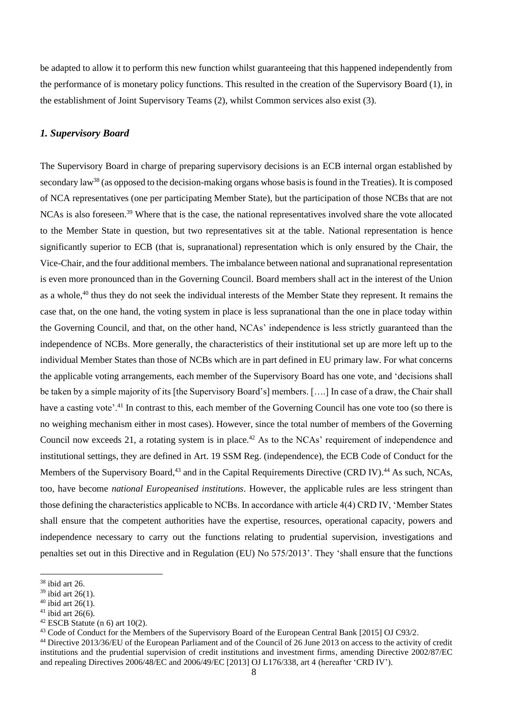be adapted to allow it to perform this new function whilst guaranteeing that this happened independently from the performance of is monetary policy functions. This resulted in the creation of the Supervisory Board (1), in the establishment of Joint Supervisory Teams (2), whilst Common services also exist (3).

#### *1. Supervisory Board*

The Supervisory Board in charge of preparing supervisory decisions is an ECB internal organ established by secondary law<sup>38</sup> (as opposed to the decision-making organs whose basis is found in the Treaties). It is composed of NCA representatives (one per participating Member State), but the participation of those NCBs that are not NCAs is also foreseen.<sup>39</sup> Where that is the case, the national representatives involved share the vote allocated to the Member State in question, but two representatives sit at the table. National representation is hence significantly superior to ECB (that is, supranational) representation which is only ensured by the Chair, the Vice-Chair, and the four additional members. The imbalance between national and supranational representation is even more pronounced than in the Governing Council. Board members shall act in the interest of the Union as a whole,<sup>40</sup> thus they do not seek the individual interests of the Member State they represent. It remains the case that, on the one hand, the voting system in place is less supranational than the one in place today within the Governing Council, and that, on the other hand, NCAs' independence is less strictly guaranteed than the independence of NCBs. More generally, the characteristics of their institutional set up are more left up to the individual Member States than those of NCBs which are in part defined in EU primary law. For what concerns the applicable voting arrangements, each member of the Supervisory Board has one vote, and 'decisions shall be taken by a simple majority of its [the Supervisory Board's] members. [….] In case of a draw, the Chair shall have a casting vote'.<sup>41</sup> In contrast to this, each member of the Governing Council has one vote too (so there is no weighing mechanism either in most cases). However, since the total number of members of the Governing Council now exceeds 21, a rotating system is in place.<sup>42</sup> As to the NCAs' requirement of independence and institutional settings, they are defined in Art. 19 SSM Reg. (independence), the ECB Code of Conduct for the Members of the Supervisory Board,<sup>43</sup> and in the Capital Requirements Directive (CRD IV).<sup>44</sup> As such, NCAs, too, have become *national Europeanised institutions*. However, the applicable rules are less stringent than those defining the characteristics applicable to NCBs. In accordance with article 4(4) CRD IV, 'Member States shall ensure that the competent authorities have the expertise, resources, operational capacity, powers and independence necessary to carry out the functions relating to prudential supervision, investigations and penalties set out in this Directive and in Regulation (EU) No 575/2013'. They 'shall ensure that the functions

<sup>38</sup> ibid art 26.

 $39$  ibid art 26(1).

 $40$  ibid art 26(1).

 $41$  ibid art 26(6).

 $42$  ESCB Statute (n 6) art 10(2).

<sup>43</sup> Code of Conduct for the Members of the Supervisory Board of the European Central Bank [2015] OJ C93/2.

<sup>44</sup> Directive 2013/36/EU of the European Parliament and of the Council of 26 June 2013 on access to the activity of credit institutions and the prudential supervision of credit institutions and investment firms, amending Directive 2002/87/EC and repealing Directives 2006/48/EC and 2006/49/EC [2013] OJ L176/338, art 4 (hereafter 'CRD IV').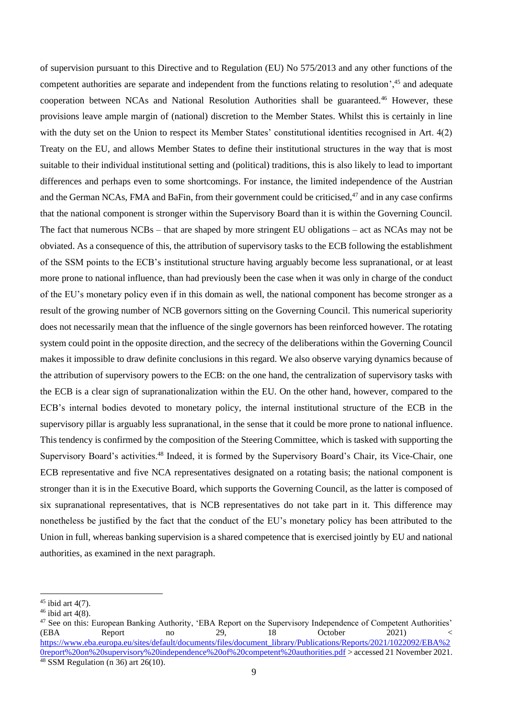of supervision pursuant to this Directive and to Regulation (EU) No 575/2013 and any other functions of the competent authorities are separate and independent from the functions relating to resolution',<sup>45</sup> and adequate cooperation between NCAs and National Resolution Authorities shall be guaranteed.<sup>46</sup> However, these provisions leave ample margin of (national) discretion to the Member States. Whilst this is certainly in line with the duty set on the Union to respect its Member States' constitutional identities recognised in Art. 4(2) Treaty on the EU, and allows Member States to define their institutional structures in the way that is most suitable to their individual institutional setting and (political) traditions, this is also likely to lead to important differences and perhaps even to some shortcomings. For instance, the limited independence of the Austrian and the German NCAs, FMA and BaFin, from their government could be criticised,<sup>47</sup> and in any case confirms that the national component is stronger within the Supervisory Board than it is within the Governing Council. The fact that numerous NCBs – that are shaped by more stringent EU obligations – act as NCAs may not be obviated. As a consequence of this, the attribution of supervisory tasks to the ECB following the establishment of the SSM points to the ECB's institutional structure having arguably become less supranational, or at least more prone to national influence, than had previously been the case when it was only in charge of the conduct of the EU's monetary policy even if in this domain as well, the national component has become stronger as a result of the growing number of NCB governors sitting on the Governing Council. This numerical superiority does not necessarily mean that the influence of the single governors has been reinforced however. The rotating system could point in the opposite direction, and the secrecy of the deliberations within the Governing Council makes it impossible to draw definite conclusions in this regard. We also observe varying dynamics because of the attribution of supervisory powers to the ECB: on the one hand, the centralization of supervisory tasks with the ECB is a clear sign of supranationalization within the EU. On the other hand, however, compared to the ECB's internal bodies devoted to monetary policy, the internal institutional structure of the ECB in the supervisory pillar is arguably less supranational, in the sense that it could be more prone to national influence. This tendency is confirmed by the composition of the Steering Committee, which is tasked with supporting the Supervisory Board's activities.<sup>48</sup> Indeed, it is formed by the Supervisory Board's Chair, its Vice-Chair, one ECB representative and five NCA representatives designated on a rotating basis; the national component is stronger than it is in the Executive Board, which supports the Governing Council, as the latter is composed of six supranational representatives, that is NCB representatives do not take part in it. This difference may nonetheless be justified by the fact that the conduct of the EU's monetary policy has been attributed to the Union in full, whereas banking supervision is a shared competence that is exercised jointly by EU and national authorities, as examined in the next paragraph.

 $45$  ibid art  $4(7)$ .

 $46$  ibid art  $4(8)$ .

<sup>&</sup>lt;sup>47</sup> See on this: European Banking Authority, 'EBA Report on the Supervisory Independence of Competent Authorities'<br>(EBA Report no 29, 18 October 2021) (EBA Report no 29, 18 October 2021) < [https://www.eba.europa.eu/sites/default/documents/files/document\\_library/Publications/Reports/2021/1022092/EBA%2](https://www.eba.europa.eu/sites/default/documents/files/document_library/Publications/Reports/2021/1022092/EBA%20report%20on%20supervisory%20independence%20of%20competent%20authorities.pdf) [0report%20on%20supervisory%20independence%20of%20competent%20authorities.pdf](https://www.eba.europa.eu/sites/default/documents/files/document_library/Publications/Reports/2021/1022092/EBA%20report%20on%20supervisory%20independence%20of%20competent%20authorities.pdf) > accessed 21 November 2021.  $48$  SSM Regulation (n 36) art 26(10).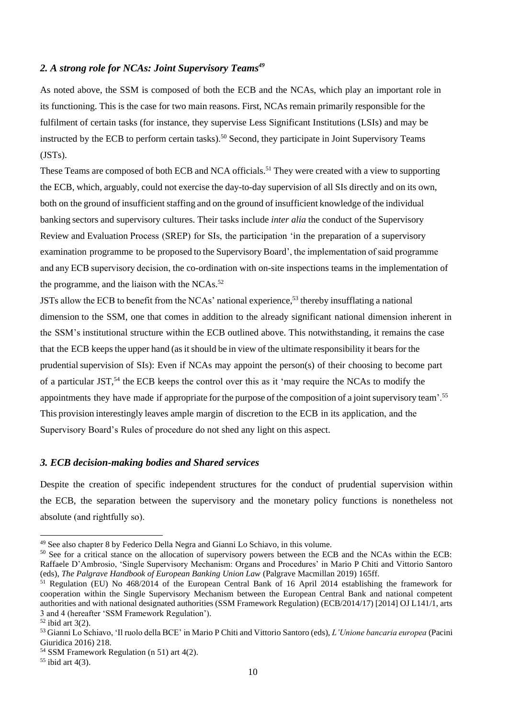#### *2. A strong role for NCAs: Joint Supervisory Teams<sup>49</sup>*

As noted above, the SSM is composed of both the ECB and the NCAs, which play an important role in its functioning. This is the case for two main reasons. First, NCAs remain primarily responsible for the fulfilment of certain tasks (for instance, they supervise Less Significant Institutions (LSIs) and may be instructed by the ECB to perform certain tasks).<sup>50</sup> Second, they participate in Joint Supervisory Teams (JSTs).

These Teams are composed of both ECB and NCA officials.<sup>51</sup> They were created with a view to supporting the ECB, which, arguably, could not exercise the day-to-day supervision of all SIs directly and on its own, both on the ground of insufficient staffing and on the ground of insufficient knowledge of the individual banking sectors and supervisory cultures. Their tasks include *inter alia* the conduct of the Supervisory Review and Evaluation Process (SREP) for SIs, the participation 'in the preparation of a supervisory examination programme to be proposed to the Supervisory Board', the implementation of said programme and any ECB supervisory decision, the co-ordination with on-site inspections teams in the implementation of the programme, and the liaison with the NCAs.<sup>52</sup>

JSTs allow the ECB to benefit from the NCAs' national experience,<sup>53</sup> thereby insufflating a national dimension to the SSM, one that comes in addition to the already significant national dimension inherent in the SSM's institutional structure within the ECB outlined above. This notwithstanding, it remains the case that the ECB keeps the upper hand (as it should be in view of the ultimate responsibility it bears for the prudential supervision of SIs): Even if NCAs may appoint the person(s) of their choosing to become part of a particular JST,<sup>54</sup> the ECB keeps the control over this as it 'may require the NCAs to modify the appointments they have made if appropriate for the purpose of the composition of a joint supervisory team'.<sup>55</sup> This provision interestingly leaves ample margin of discretion to the ECB in its application, and the Supervisory Board's Rules of procedure do not shed any light on this aspect.

#### *3. ECB decision-making bodies and Shared services*

Despite the creation of specific independent structures for the conduct of prudential supervision within the ECB, the separation between the supervisory and the monetary policy functions is nonetheless not absolute (and rightfully so).

<sup>49</sup> See also chapter 8 by Federico Della Negra and Gianni Lo Schiavo, in this volume.

<sup>&</sup>lt;sup>50</sup> See for a critical stance on the allocation of supervisory powers between the ECB and the NCAs within the ECB: Raffaele D'Ambrosio, 'Single Supervisory Mechanism: Organs and Procedures' in Mario P Chiti and Vittorio Santoro (eds), *The Palgrave Handbook of European Banking Union Law* (Palgrave Macmillan 2019) 165ff.

 $51$  Regulation (EU) No 468/2014 of the European Central Bank of 16 April 2014 establishing the framework for cooperation within the Single Supervisory Mechanism between the European Central Bank and national competent authorities and with national designated authorities (SSM Framework Regulation) (ECB/2014/17) [2014] OJ L141/1, arts 3 and 4 (hereafter 'SSM Framework Regulation').

 $52$  ibid art  $3(2)$ .

<sup>53</sup> Gianni Lo Schiavo, 'Il ruolo della BCE' in Mario P Chiti and Vittorio Santoro (eds), *L'Unione bancaria europea* (Pacini Giuridica 2016) 218.

<sup>54</sup> SSM Framework Regulation (n 51) art 4(2).

 $55$  ibid art 4(3).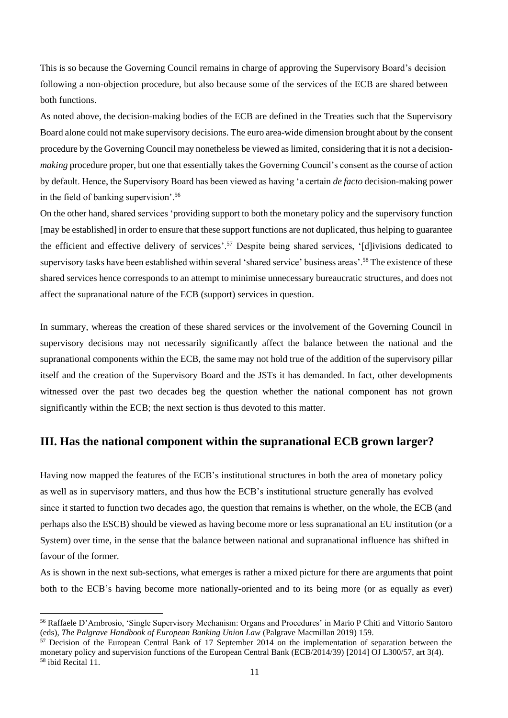This is so because the Governing Council remains in charge of approving the Supervisory Board's decision following a non-objection procedure, but also because some of the services of the ECB are shared between both functions.

As noted above, the decision-making bodies of the ECB are defined in the Treaties such that the Supervisory Board alone could not make supervisory decisions. The euro area-wide dimension brought about by the consent procedure by the Governing Council may nonetheless be viewed as limited, considering that it is not a decision*making* procedure proper, but one that essentially takes the Governing Council's consent as the course of action by default. Hence, the Supervisory Board has been viewed as having 'a certain *de facto* decision-making power in the field of banking supervision'.<sup>56</sup>

On the other hand, shared services 'providing support to both the monetary policy and the supervisory function [may be established] in order to ensure that these support functions are not duplicated, thus helping to guarantee the efficient and effective delivery of services'.<sup>57</sup> Despite being shared services, '[d]ivisions dedicated to supervisory tasks have been established within several 'shared service' business areas'.<sup>58</sup> The existence of these shared services hence corresponds to an attempt to minimise unnecessary bureaucratic structures, and does not affect the supranational nature of the ECB (support) services in question.

In summary, whereas the creation of these shared services or the involvement of the Governing Council in supervisory decisions may not necessarily significantly affect the balance between the national and the supranational components within the ECB, the same may not hold true of the addition of the supervisory pillar itself and the creation of the Supervisory Board and the JSTs it has demanded. In fact, other developments witnessed over the past two decades beg the question whether the national component has not grown significantly within the ECB; the next section is thus devoted to this matter.

#### **III. Has the national component within the supranational ECB grown larger?**

Having now mapped the features of the ECB's institutional structures in both the area of monetary policy as well as in supervisory matters, and thus how the ECB's institutional structure generally has evolved since it started to function two decades ago, the question that remains is whether, on the whole, the ECB (and perhaps also the ESCB) should be viewed as having become more or less supranational an EU institution (or a System) over time, in the sense that the balance between national and supranational influence has shifted in favour of the former.

As is shown in the next sub-sections, what emerges is rather a mixed picture for there are arguments that point both to the ECB's having become more nationally-oriented and to its being more (or as equally as ever)

<sup>56</sup> Raffaele D'Ambrosio, 'Single Supervisory Mechanism: Organs and Procedures' in Mario P Chiti and Vittorio Santoro (eds), *The Palgrave Handbook of European Banking Union Law* (Palgrave Macmillan 2019) 159.

<sup>57</sup> Decision of the European Central Bank of 17 September 2014 on the implementation of separation between the monetary policy and supervision functions of the European Central Bank (ECB/2014/39) [2014] OJ L300/57, art 3(4). <sup>58</sup> ibid Recital 11.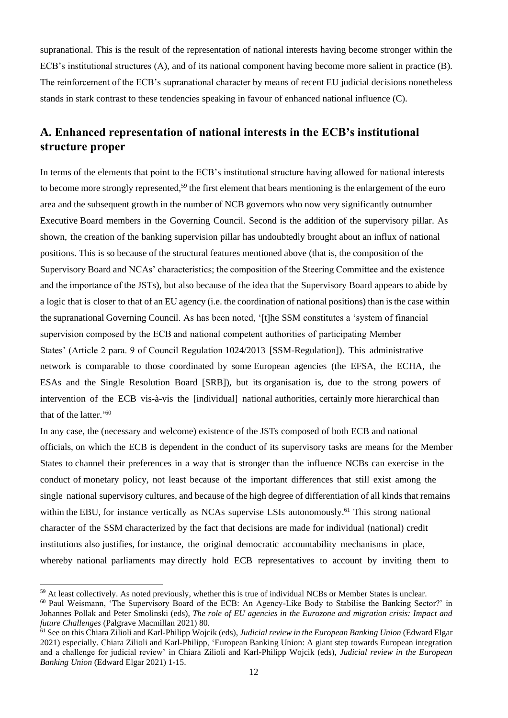supranational. This is the result of the representation of national interests having become stronger within the ECB's institutional structures (A), and of its national component having become more salient in practice (B). The reinforcement of the ECB's supranational character by means of recent EU judicial decisions nonetheless stands in stark contrast to these tendencies speaking in favour of enhanced national influence (C).

### **A. Enhanced representation of national interests in the ECB's institutional structure proper**

In terms of the elements that point to the ECB's institutional structure having allowed for national interests to become more strongly represented,<sup>59</sup> the first element that bears mentioning is the enlargement of the euro area and the subsequent growth in the number of NCB governors who now very significantly outnumber Executive Board members in the Governing Council. Second is the addition of the supervisory pillar. As shown, the creation of the banking supervision pillar has undoubtedly brought about an influx of national positions. This is so because of the structural features mentioned above (that is, the composition of the Supervisory Board and NCAs' characteristics; the composition of the Steering Committee and the existence and the importance of the JSTs), but also because of the idea that the Supervisory Board appears to abide by a logic that is closer to that of an EU agency (i.e. the coordination of national positions) than is the case within the supranational Governing Council. As has been noted, '[t]he SSM constitutes a 'system of financial supervision composed by the ECB and national competent authorities of participating Member States' (Article 2 para. 9 of Council Regulation 1024/2013 [SSM-Regulation]). This administrative network is comparable to those coordinated by some European agencies (the EFSA, the ECHA, the ESAs and the Single Resolution Board [SRB]), but its organisation is, due to the strong powers of intervention of the ECB vis-à-vis the [individual] national authorities, certainly more hierarchical than that of the latter.' 60

In any case, the (necessary and welcome) existence of the JSTs composed of both ECB and national officials, on which the ECB is dependent in the conduct of its supervisory tasks are means for the Member States to channel their preferences in a way that is stronger than the influence NCBs can exercise in the conduct of monetary policy, not least because of the important differences that still exist among the single national supervisory cultures, and because of the high degree of differentiation of all kinds that remains within the EBU, for instance vertically as NCAs supervise LSIs autonomously.<sup>61</sup> This strong national character of the SSM characterized by the fact that decisions are made for individual (national) credit institutions also justifies, for instance, the original democratic accountability mechanisms in place, whereby national parliaments may directly hold ECB representatives to account by inviting them to

<sup>&</sup>lt;sup>59</sup> At least collectively. As noted previously, whether this is true of individual NCBs or Member States is unclear.

<sup>60</sup> Paul Weismann, 'The Supervisory Board of the ECB: An Agency-Like Body to Stabilise the Banking Sector?' in Johannes Pollak and Peter Smolinski (eds), *The role of EU agencies in the Eurozone and migration crisis: Impact and future Challenges* (Palgrave Macmillan 2021) 80.

<sup>61</sup> See on this Chiara Zilioli and Karl-Philipp Wojcik (eds), *Judicial review in the European Banking Union* (Edward Elgar 2021) especially. Chiara Zilioli and Karl-Philipp, 'European Banking Union: A giant step towards European integration and a challenge for judicial review' in Chiara Zilioli and Karl-Philipp Wojcik (eds), *Judicial review in the European Banking Union* (Edward Elgar 2021) 1-15.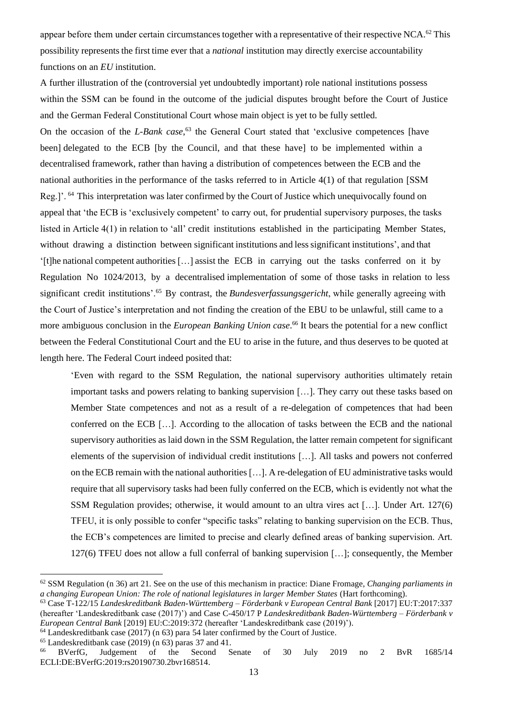appear before them under certain circumstances together with a representative of their respective NCA.<sup>62</sup> This possibility represents the first time ever that a *national* institution may directly exercise accountability functions on an *EU* institution.

A further illustration of the (controversial yet undoubtedly important) role national institutions possess within the SSM can be found in the outcome of the judicial disputes brought before the Court of Justice and the German Federal Constitutional Court whose main object is yet to be fully settled. On the occasion of the *L-Bank case*, <sup>63</sup> the General Court stated that 'exclusive competences [have been] delegated to the ECB [by the Council, and that these have] to be implemented within a decentralised framework, rather than having a distribution of competences between the ECB and the national authorities in the performance of the tasks referred to in Article 4(1) of that regulation [SSM Reg.]'. <sup>64</sup> This interpretation was later confirmed by the Court of Justice which unequivocally found on appeal that 'the ECB is 'exclusively competent' to carry out, for prudential supervisory purposes, the tasks listed in Article 4(1) in relation to 'all' credit institutions established in the participating Member States, without drawing a distinction between significant institutions and less significant institutions', and that '[t]he national competent authorities […] assist the ECB in carrying out the tasks conferred on it by Regulation No 1024/2013, by a decentralised implementation of some of those tasks in relation to less significant credit institutions'.<sup>65</sup> By contrast, the *Bundesverfassungsgericht*, while generally agreeing with the Court of Justice's interpretation and not finding the creation of the EBU to be unlawful, still came to a more ambiguous conclusion in the *European Banking Union case*. <sup>66</sup> It bears the potential for a new conflict between the Federal Constitutional Court and the EU to arise in the future, and thus deserves to be quoted at length here. The Federal Court indeed posited that:

'Even with regard to the SSM Regulation, the national supervisory authorities ultimately retain important tasks and powers relating to banking supervision […]. They carry out these tasks based on Member State competences and not as a result of a re-delegation of competences that had been conferred on the ECB […]. According to the allocation of tasks between the ECB and the national supervisory authorities as laid down in the SSM Regulation, the latter remain competent for significant elements of the supervision of individual credit institutions […]. All tasks and powers not conferred on the ECB remain with the national authorities […]. A re-delegation of EU administrative tasks would require that all supervisory tasks had been fully conferred on the ECB, which is evidently not what the SSM Regulation provides; otherwise, it would amount to an ultra vires act […]. Under Art. 127(6) TFEU, it is only possible to confer "specific tasks" relating to banking supervision on the ECB. Thus, the ECB's competences are limited to precise and clearly defined areas of banking supervision. Art. 127(6) TFEU does not allow a full conferral of banking supervision […]; consequently, the Member

<sup>64</sup> Landeskreditbank case (2017) (n 63) para 54 later confirmed by the Court of Justice.

<sup>65</sup> Landeskreditbank case (2019) (n 63) paras 37 and 41.<br><sup>66</sup> BVerfG, Judgement of the Second S

<sup>62</sup> SSM Regulation (n 36) art 21. See on the use of this mechanism in practice: Diane Fromage, *Changing parliaments in a changing European Union: The role of national legislatures in larger Member States* (Hart forthcoming).

<sup>63</sup> Case T-122/15 *Landeskreditbank Baden-Württemberg – Förderbank v European Central Bank* [2017] EU:T:2017:337 (hereafter 'Landeskreditbank case (2017)') and Case C-450/17 P *Landeskreditbank Baden-Württemberg – Förderbank v European Central Bank* [2019] EU:C:2019:372 (hereafter 'Landeskreditbank case (2019)').

<sup>66</sup> BVerfG, Judgement of the Second Senate of 30 July 2019 no 2 BvR 1685/14 ECLI:DE:BVerfG:2019:rs20190730.2bvr168514.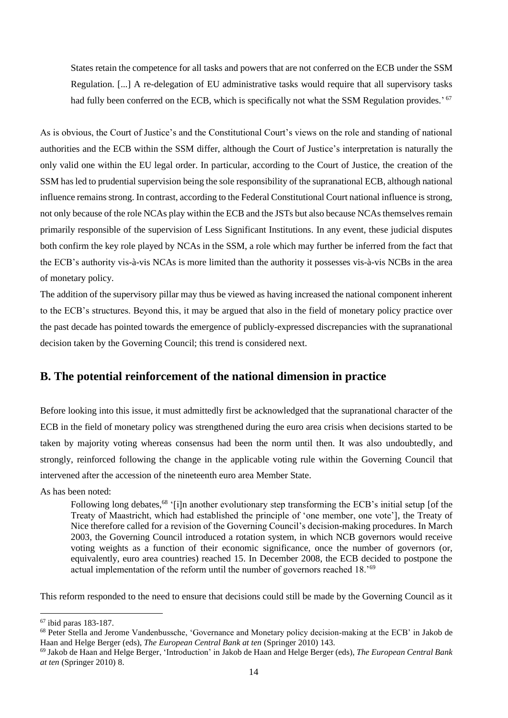States retain the competence for all tasks and powers that are not conferred on the ECB under the SSM Regulation. [...] A re-delegation of EU administrative tasks would require that all supervisory tasks had fully been conferred on the ECB, which is specifically not what the SSM Regulation provides.' 67

As is obvious, the Court of Justice's and the Constitutional Court's views on the role and standing of national authorities and the ECB within the SSM differ, although the Court of Justice's interpretation is naturally the only valid one within the EU legal order. In particular, according to the Court of Justice, the creation of the SSM has led to prudential supervision being the sole responsibility of the supranational ECB, although national influence remains strong. In contrast, according to the Federal Constitutional Court national influence is strong, not only because of the role NCAs play within the ECB and the JSTs but also because NCAs themselves remain primarily responsible of the supervision of Less Significant Institutions. In any event, these judicial disputes both confirm the key role played by NCAs in the SSM, a role which may further be inferred from the fact that the ECB's authority vis-à-vis NCAs is more limited than the authority it possesses vis-à-vis NCBs in the area of monetary policy.

The addition of the supervisory pillar may thus be viewed as having increased the national component inherent to the ECB's structures. Beyond this, it may be argued that also in the field of monetary policy practice over the past decade has pointed towards the emergence of publicly-expressed discrepancies with the supranational decision taken by the Governing Council; this trend is considered next.

### **B. The potential reinforcement of the national dimension in practice**

Before looking into this issue, it must admittedly first be acknowledged that the supranational character of the ECB in the field of monetary policy was strengthened during the euro area crisis when decisions started to be taken by majority voting whereas consensus had been the norm until then. It was also undoubtedly, and strongly, reinforced following the change in the applicable voting rule within the Governing Council that intervened after the accession of the nineteenth euro area Member State.

As has been noted:

Following long debates,<sup>68</sup> '[i]n another evolutionary step transforming the ECB's initial setup [of the Treaty of Maastricht, which had established the principle of 'one member, one vote'], the Treaty of Nice therefore called for a revision of the Governing Council's decision-making procedures. In March 2003, the Governing Council introduced a rotation system, in which NCB governors would receive voting weights as a function of their economic significance, once the number of governors (or, equivalently, euro area countries) reached 15. In December 2008, the ECB decided to postpone the actual implementation of the reform until the number of governors reached 18.'<sup>69</sup>

This reform responded to the need to ensure that decisions could still be made by the Governing Council as it

<sup>67</sup> ibid paras 183-187.

<sup>&</sup>lt;sup>68</sup> Peter Stella and Jerome Vandenbussche, 'Governance and Monetary policy decision-making at the ECB' in Jakob de Haan and Helge Berger (eds), *The European Central Bank at ten* (Springer 2010) 143.

<sup>69</sup> Jakob de Haan and Helge Berger, 'Introduction' in Jakob de Haan and Helge Berger (eds), *The European Central Bank at ten* (Springer 2010) 8.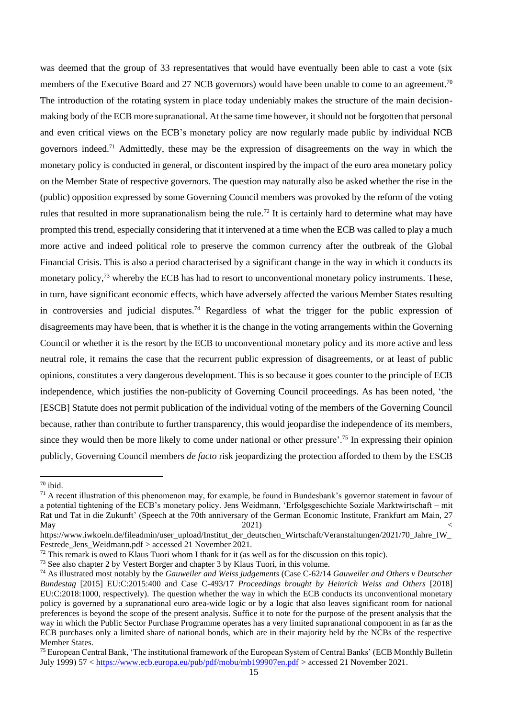was deemed that the group of 33 representatives that would have eventually been able to cast a vote (six members of the Executive Board and 27 NCB governors) would have been unable to come to an agreement.<sup>70</sup> The introduction of the rotating system in place today undeniably makes the structure of the main decisionmaking body of the ECB more supranational. At the same time however, it should not be forgotten that personal and even critical views on the ECB's monetary policy are now regularly made public by individual NCB governors indeed. <sup>71</sup> Admittedly, these may be the expression of disagreements on the way in which the monetary policy is conducted in general, or discontent inspired by the impact of the euro area monetary policy on the Member State of respective governors. The question may naturally also be asked whether the rise in the (public) opposition expressed by some Governing Council members was provoked by the reform of the voting rules that resulted in more supranationalism being the rule.<sup>72</sup> It is certainly hard to determine what may have prompted this trend, especially considering that it intervened at a time when the ECB was called to play a much more active and indeed political role to preserve the common currency after the outbreak of the Global Financial Crisis. This is also a period characterised by a significant change in the way in which it conducts its monetary policy,<sup>73</sup> whereby the ECB has had to resort to unconventional monetary policy instruments. These, in turn, have significant economic effects, which have adversely affected the various Member States resulting in controversies and judicial disputes.<sup>74</sup> Regardless of what the trigger for the public expression of disagreements may have been, that is whether it is the change in the voting arrangements within the Governing Council or whether it is the resort by the ECB to unconventional monetary policy and its more active and less neutral role, it remains the case that the recurrent public expression of disagreements, or at least of public opinions, constitutes a very dangerous development. This is so because it goes counter to the principle of ECB independence, which justifies the non-publicity of Governing Council proceedings. As has been noted, 'the [ESCB] Statute does not permit publication of the individual voting of the members of the Governing Council because, rather than contribute to further transparency, this would jeopardise the independence of its members, since they would then be more likely to come under national or other pressure'.<sup>75</sup> In expressing their opinion publicly, Governing Council members *de facto* risk jeopardizing the protection afforded to them by the ESCB

<sup>70</sup> ibid.

 $<sup>71</sup>$  A recent illustration of this phenomenon may, for example, be found in Bundesbank's governor statement in favour of</sup> a potential tightening of the ECB's monetary policy. Jens Weidmann, 'Erfolgsgeschichte Soziale Marktwirtschaft – mit Rat und Tat in die Zukunft' (Speech at the 70th anniversary of the German Economic Institute, Frankfurt am Main, 27 May  $2021$   $<$ 

https://www.iwkoeln.de/fileadmin/user\_upload/Institut\_der\_deutschen\_Wirtschaft/Veranstaltungen/2021/70\_Jahre\_IW\_ Festrede\_Jens\_Weidmann.pdf > accessed 21 November 2021.

 $72$  This remark is owed to Klaus Tuori whom I thank for it (as well as for the discussion on this topic).

<sup>73</sup> See also chapter 2 by Vestert Borger and chapter 3 by Klaus Tuori, in this volume.

<sup>74</sup> As illustrated most notably by the *Gauweiler and Weiss judgements* (Case C-62/14 *Gauweiler and Others v Deutscher Bundestag* [2015] EU:C:2015:400 and Case C-493/17 *Proceedings brought by Heinrich Weiss and Others* [2018] EU:C:2018:1000, respectively). The question whether the way in which the ECB conducts its unconventional monetary policy is governed by a supranational euro area-wide logic or by a logic that also leaves significant room for national preferences is beyond the scope of the present analysis. Suffice it to note for the purpose of the present analysis that the way in which the Public Sector Purchase Programme operates has a very limited supranational component in as far as the ECB purchases only a limited share of national bonds, which are in their majority held by the NCBs of the respective Member States.

<sup>75</sup> European Central Bank, 'The institutional framework of the European System of Central Banks' (ECB Monthly Bulletin July 1999) 57 [< https://www.ecb.europa.eu/pub/pdf/mobu/mb199907en.pdf](https://www.ecb.europa.eu/pub/pdf/mobu/mb199907en.pdf) > accessed 21 November 2021.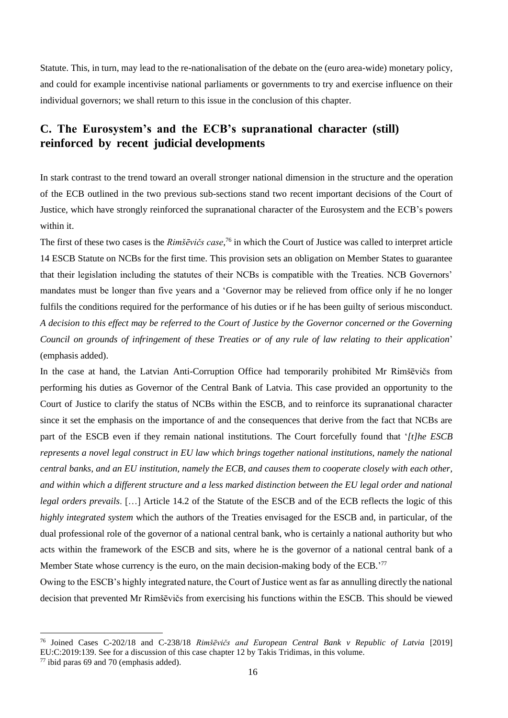Statute. This, in turn, may lead to the re-nationalisation of the debate on the (euro area-wide) monetary policy, and could for example incentivise national parliaments or governments to try and exercise influence on their individual governors; we shall return to this issue in the conclusion of this chapter.

### **C. The Eurosystem's and the ECB's supranational character (still) reinforced by recent judicial developments**

In stark contrast to the trend toward an overall stronger national dimension in the structure and the operation of the ECB outlined in the two previous sub-sections stand two recent important decisions of the Court of Justice, which have strongly reinforced the supranational character of the Eurosystem and the ECB's powers within it.

The first of these two cases is the *Rimšēvičs case*, <sup>76</sup> in which the Court of Justice was called to interpret article 14 ESCB Statute on NCBs for the first time. This provision sets an obligation on Member States to guarantee that their legislation including the statutes of their NCBs is compatible with the Treaties. NCB Governors' mandates must be longer than five years and a 'Governor may be relieved from office only if he no longer fulfils the conditions required for the performance of his duties or if he has been guilty of serious misconduct. *A decision to this effect may be referred to the Court of Justice by the Governor concerned or the Governing Council on grounds of infringement of these Treaties or of any rule of law relating to their application*' (emphasis added).

In the case at hand, the Latvian Anti-Corruption Office had temporarily prohibited Mr Rimšēvičs from performing his duties as Governor of the Central Bank of Latvia. This case provided an opportunity to the Court of Justice to clarify the status of NCBs within the ESCB, and to reinforce its supranational character since it set the emphasis on the importance of and the consequences that derive from the fact that NCBs are part of the ESCB even if they remain national institutions. The Court forcefully found that '*[t]he ESCB represents a novel legal construct in EU law which brings together national institutions, namely the national central banks, and an EU institution, namely the ECB, and causes them to cooperate closely with each other, and within which a different structure and a less marked distinction between the EU legal order and national legal orders prevails*. […] Article 14.2 of the Statute of the ESCB and of the ECB reflects the logic of this *highly integrated system* which the authors of the Treaties envisaged for the ESCB and, in particular, of the dual professional role of the governor of a national central bank, who is certainly a national authority but who acts within the framework of the ESCB and sits, where he is the governor of a national central bank of a Member State whose currency is the euro, on the main decision-making body of the ECB.'<sup>77</sup>

Owing to the ESCB's highly integrated nature, the Court of Justice went as far as annulling directly the national decision that prevented Mr Rimšēvičs from exercising his functions within the ESCB. This should be viewed

<sup>76</sup> Joined Cases C-202/18 and C-238/18 *Rimšēvičs and European Central Bank v Republic of Latvia* [2019] EU:C:2019:139. See for a discussion of this case chapter 12 by Takis Tridimas, in this volume.

 $77$  ibid paras 69 and 70 (emphasis added).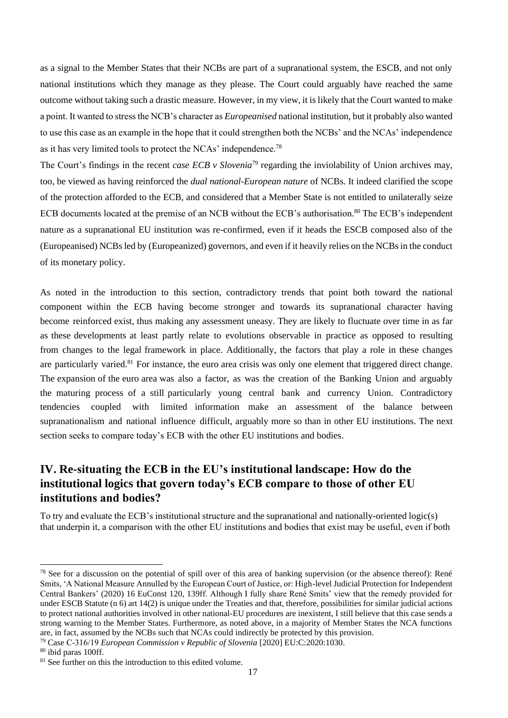as a signal to the Member States that their NCBs are part of a supranational system, the ESCB, and not only national institutions which they manage as they please. The Court could arguably have reached the same outcome without taking such a drastic measure. However, in my view, it is likely that the Court wanted to make a point. It wanted to stress the NCB's character as *Europeanised* national institution, but it probably also wanted to use this case as an example in the hope that it could strengthen both the NCBs' and the NCAs' independence as it has very limited tools to protect the NCAs' independence.<sup>78</sup>

The Court's findings in the recent *case ECB v Slovenia*<sup>79</sup> regarding the inviolability of Union archives may, too, be viewed as having reinforced the *dual national-European nature* of NCBs. It indeed clarified the scope of the protection afforded to the ECB, and considered that a Member State is not entitled to unilaterally seize ECB documents located at the premise of an NCB without the ECB's authorisation.<sup>80</sup> The ECB's independent nature as a supranational EU institution was re-confirmed, even if it heads the ESCB composed also of the (Europeanised) NCBs led by (Europeanized) governors, and even if it heavily relies on the NCBs in the conduct of its monetary policy.

As noted in the introduction to this section, contradictory trends that point both toward the national component within the ECB having become stronger and towards its supranational character having become reinforced exist, thus making any assessment uneasy. They are likely to fluctuate over time in as far as these developments at least partly relate to evolutions observable in practice as opposed to resulting from changes to the legal framework in place. Additionally, the factors that play a role in these changes are particularly varied.<sup>81</sup> For instance, the euro area crisis was only one element that triggered direct change. The expansion of the euro area was also a factor, as was the creation of the Banking Union and arguably the maturing process of a still particularly young central bank and currency Union. Contradictory tendencies coupled with limited information make an assessment of the balance between supranationalism and national influence difficult, arguably more so than in other EU institutions. The next section seeks to compare today's ECB with the other EU institutions and bodies.

# **IV. Re-situating the ECB in the EU's institutional landscape: How do the institutional logics that govern today's ECB compare to those of other EU institutions and bodies?**

To try and evaluate the ECB's institutional structure and the supranational and nationally-oriented logic(s) that underpin it, a comparison with the other EU institutions and bodies that exist may be useful, even if both

<sup>&</sup>lt;sup>78</sup> See for a discussion on the potential of spill over of this area of banking supervision (or the absence thereof): René Smits, 'A National Measure Annulled by the European Court of Justice, or: High-level Judicial Protection for Independent Central Bankers' (2020) 16 EuConst 120, 139ff. Although I fully share René Smits' view that the remedy provided for under ESCB Statute (n 6) art 14(2) is unique under the Treaties and that, therefore, possibilities for similar judicial actions to protect national authorities involved in other national-EU procedures are inexistent, I still believe that this case sends a strong warning to the Member States. Furthermore, as noted above, in a majority of Member States the NCA functions are, in fact, assumed by the NCBs such that NCAs could indirectly be protected by this provision.

<sup>79</sup> Case C‑316/19 *European Commission v Republic of Slovenia* [2020] EU:C:2020:1030.

<sup>80</sup> ibid paras 100ff.

 $81$  See further on this the introduction to this edited volume.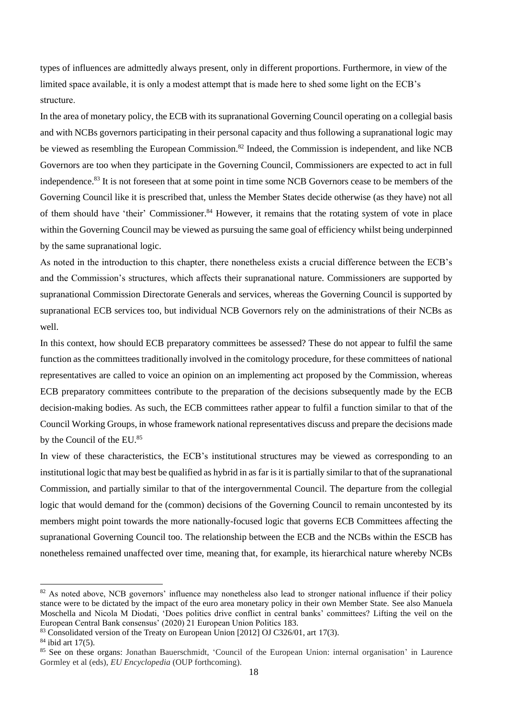types of influences are admittedly always present, only in different proportions. Furthermore, in view of the limited space available, it is only a modest attempt that is made here to shed some light on the ECB's structure.

In the area of monetary policy, the ECB with its supranational Governing Council operating on a collegial basis and with NCBs governors participating in their personal capacity and thus following a supranational logic may be viewed as resembling the European Commission.<sup>82</sup> Indeed, the Commission is independent, and like NCB Governors are too when they participate in the Governing Council, Commissioners are expected to act in full independence.<sup>83</sup> It is not foreseen that at some point in time some NCB Governors cease to be members of the Governing Council like it is prescribed that, unless the Member States decide otherwise (as they have) not all of them should have 'their' Commissioner.<sup>84</sup> However, it remains that the rotating system of vote in place within the Governing Council may be viewed as pursuing the same goal of efficiency whilst being underpinned by the same supranational logic.

As noted in the introduction to this chapter, there nonetheless exists a crucial difference between the ECB's and the Commission's structures, which affects their supranational nature. Commissioners are supported by supranational Commission Directorate Generals and services, whereas the Governing Council is supported by supranational ECB services too, but individual NCB Governors rely on the administrations of their NCBs as well.

In this context, how should ECB preparatory committees be assessed? These do not appear to fulfil the same function as the committees traditionally involved in the comitology procedure, for these committees of national representatives are called to voice an opinion on an implementing act proposed by the Commission, whereas ECB preparatory committees contribute to the preparation of the decisions subsequently made by the ECB decision-making bodies. As such, the ECB committees rather appear to fulfil a function similar to that of the Council Working Groups, in whose framework national representatives discuss and prepare the decisions made by the Council of the EU.<sup>85</sup>

In view of these characteristics, the ECB's institutional structures may be viewed as corresponding to an institutional logic that may best be qualified as hybrid in as far is it is partially similar to that of the supranational Commission, and partially similar to that of the intergovernmental Council. The departure from the collegial logic that would demand for the (common) decisions of the Governing Council to remain uncontested by its members might point towards the more nationally-focused logic that governs ECB Committees affecting the supranational Governing Council too. The relationship between the ECB and the NCBs within the ESCB has nonetheless remained unaffected over time, meaning that, for example, its hierarchical nature whereby NCBs

 $82$  As noted above, NCB governors' influence may nonetheless also lead to stronger national influence if their policy stance were to be dictated by the impact of the euro area monetary policy in their own Member State. See also Manuela Moschella and Nicola M Diodati, 'Does politics drive conflict in central banks' committees? Lifting the veil on the European Central Bank consensus' (2020) 21 European Union Politics 183.

<sup>83</sup> Consolidated version of the Treaty on European Union [2012] OJ C326/01, art 17(3).

 $84$  ibid art 17(5).

<sup>&</sup>lt;sup>85</sup> See on these organs: Jonathan Bauerschmidt, 'Council of the European Union: internal organisation' in Laurence Gormley et al (eds), *EU Encyclopedia* (OUP forthcoming).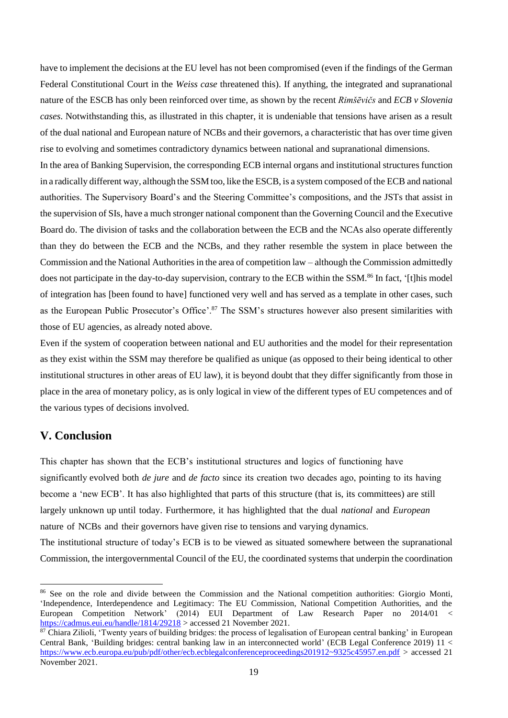have to implement the decisions at the EU level has not been compromised (even if the findings of the German Federal Constitutional Court in the *Weiss case* threatened this). If anything, the integrated and supranational nature of the ESCB has only been reinforced over time, as shown by the recent *Rimšēvičs* and *ECB v Slovenia cases*. Notwithstanding this, as illustrated in this chapter, it is undeniable that tensions have arisen as a result of the dual national and European nature of NCBs and their governors, a characteristic that has over time given rise to evolving and sometimes contradictory dynamics between national and supranational dimensions.

In the area of Banking Supervision, the corresponding ECB internal organs and institutional structures function in a radically different way, although the SSM too, like the ESCB, is a system composed of the ECB and national authorities. The Supervisory Board's and the Steering Committee's compositions, and the JSTs that assist in the supervision of SIs, have a much stronger national component than the Governing Council and the Executive Board do. The division of tasks and the collaboration between the ECB and the NCAs also operate differently than they do between the ECB and the NCBs, and they rather resemble the system in place between the Commission and the National Authorities in the area of competition law – although the Commission admittedly does not participate in the day-to-day supervision, contrary to the ECB within the SSM.<sup>86</sup> In fact, '[t]his model of integration has [been found to have] functioned very well and has served as a template in other cases, such as the European Public Prosecutor's Office'.<sup>87</sup> The SSM's structures however also present similarities with those of EU agencies, as already noted above.

Even if the system of cooperation between national and EU authorities and the model for their representation as they exist within the SSM may therefore be qualified as unique (as opposed to their being identical to other institutional structures in other areas of EU law), it is beyond doubt that they differ significantly from those in place in the area of monetary policy, as is only logical in view of the different types of EU competences and of the various types of decisions involved.

### **V. Conclusion**

This chapter has shown that the ECB's institutional structures and logics of functioning have significantly evolved both *de jure* and *de facto* since its creation two decades ago, pointing to its having become a 'new ECB'. It has also highlighted that parts of this structure (that is, its committees) are still largely unknown up until today. Furthermore, it has highlighted that the dual *national* and *European*  nature of NCBs and their governors have given rise to tensions and varying dynamics. The institutional structure of today's ECB is to be viewed as situated somewhere between the supranational Commission, the intergovernmental Council of the EU, the coordinated systems that underpin the coordination

<sup>86</sup> See on the role and divide between the Commission and the National competition authorities: Giorgio Monti, 'Independence, Interdependence and Legitimacy: The EU Commission, National Competition Authorities, and the European Competition Network' (2014) EUI Department of Law Research Paper no 2014/01 < <https://cadmus.eui.eu/handle/1814/29218> > accessed 21 November 2021.

 $87$  Chiara Zilioli, 'Twenty years of building bridges: the process of legalisation of European central banking' in European Central Bank, 'Building bridges: central banking law in an interconnected world' (ECB Legal Conference 2019) 11 < <https://www.ecb.europa.eu/pub/pdf/other/ecb.ecblegalconferenceproceedings201912~9325c45957.en.pdf> > accessed 21 November 2021.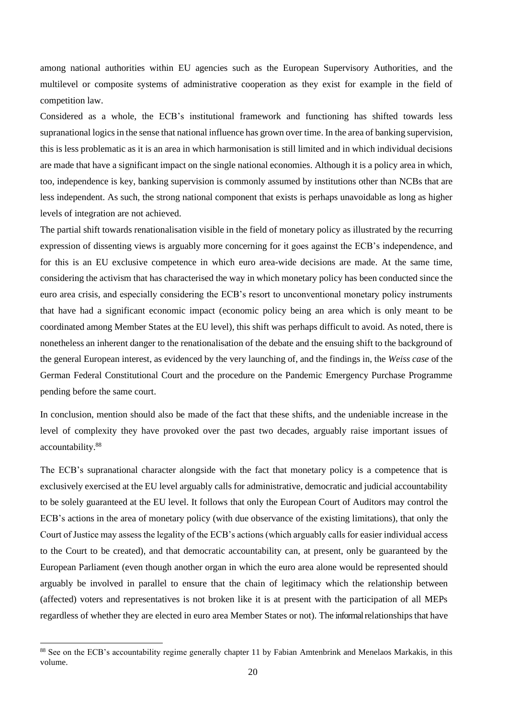among national authorities within EU agencies such as the European Supervisory Authorities, and the multilevel or composite systems of administrative cooperation as they exist for example in the field of competition law.

Considered as a whole, the ECB's institutional framework and functioning has shifted towards less supranational logics in the sense that national influence has grown over time. In the area of banking supervision, this is less problematic as it is an area in which harmonisation is still limited and in which individual decisions are made that have a significant impact on the single national economies. Although it is a policy area in which, too, independence is key, banking supervision is commonly assumed by institutions other than NCBs that are less independent. As such, the strong national component that exists is perhaps unavoidable as long as higher levels of integration are not achieved.

The partial shift towards renationalisation visible in the field of monetary policy as illustrated by the recurring expression of dissenting views is arguably more concerning for it goes against the ECB's independence, and for this is an EU exclusive competence in which euro area-wide decisions are made. At the same time, considering the activism that has characterised the way in which monetary policy has been conducted since the euro area crisis, and especially considering the ECB's resort to unconventional monetary policy instruments that have had a significant economic impact (economic policy being an area which is only meant to be coordinated among Member States at the EU level), this shift was perhaps difficult to avoid. As noted, there is nonetheless an inherent danger to the renationalisation of the debate and the ensuing shift to the background of the general European interest, as evidenced by the very launching of, and the findings in, the *Weiss case* of the German Federal Constitutional Court and the procedure on the Pandemic Emergency Purchase Programme pending before the same court.

In conclusion, mention should also be made of the fact that these shifts, and the undeniable increase in the level of complexity they have provoked over the past two decades, arguably raise important issues of accountability.<sup>88</sup>

The ECB's supranational character alongside with the fact that monetary policy is a competence that is exclusively exercised at the EU level arguably calls for administrative, democratic and judicial accountability to be solely guaranteed at the EU level. It follows that only the European Court of Auditors may control the ECB's actions in the area of monetary policy (with due observance of the existing limitations), that only the Court of Justice may assess the legality of the ECB's actions (which arguably calls for easier individual access to the Court to be created), and that democratic accountability can, at present, only be guaranteed by the European Parliament (even though another organ in which the euro area alone would be represented should arguably be involved in parallel to ensure that the chain of legitimacy which the relationship between (affected) voters and representatives is not broken like it is at present with the participation of all MEPs regardless of whether they are elected in euro area Member States or not). The informal relationships that have

<sup>88</sup> See on the ECB's accountability regime generally chapter 11 by Fabian Amtenbrink and Menelaos Markakis, in this volume.